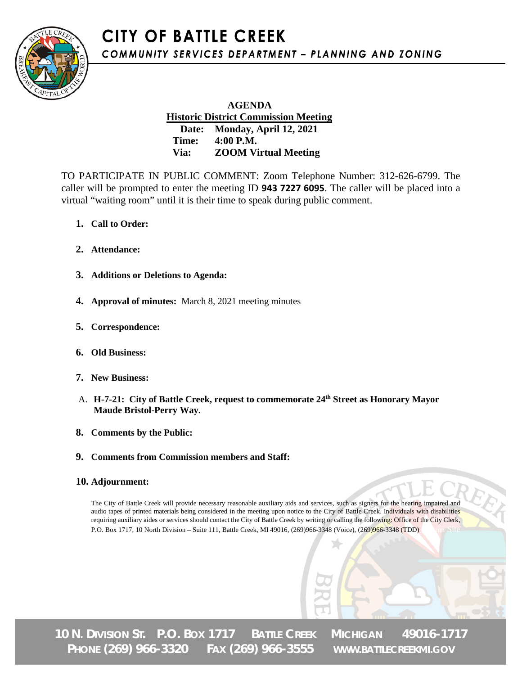**CITY OF BATTLE CREEK** COMMUNITY SERVICES DEPARTMENT - PLANNING AND ZONING



 **AGENDA Historic District Commission Meeting Date: Monday, April 12, 2021 Time: 4:00 P.M. Via: ZOOM Virtual Meeting**

TO PARTICIPATE IN PUBLIC COMMENT: Zoom Telephone Number: 312-626-6799. The caller will be prompted to enter the meeting ID **943 7227 6095**. The caller will be placed into a virtual "waiting room" until it is their time to speak during public comment.

- **1. Call to Order:**
- **2. Attendance:**
- **3. Additions or Deletions to Agenda:**
- **4. Approval of minutes:** March 8, 2021 meeting minutes
- **5. Correspondence:**
- **6. Old Business:**
- **7. New Business:**
- A. **H-7-21: City of Battle Creek, request to commemorate 24th Street as Honorary Mayor Maude Bristol-Perry Way.**
- **8. Comments by the Public:**
- **9. Comments from Commission members and Staff:**

#### **10. Adjournment:**

The City of Battle Creek will provide necessary reasonable auxiliary aids and services, such as signers for the hearing impaired and audio tapes of printed materials being considered in the meeting upon notice to the City of Battle Creek. Individuals with disabilities requiring auxiliary aides or services should contact the City of Battle Creek by writing or calling the following: Office of the City Clerk, P.O. Box 1717, 10 North Division – Suite 111, Battle Creek, MI 49016, (269)966-3348 (Voice), (269)966-3348 (TDD)

**10 N. DIVISION ST. P.O. BOX 1717 BATTLE CREEK MICHIGAN 49016-1717 PHONE (269) 966-3320 FAX (269) 966-3555 WWW.BATTLECREEKMI.GOV**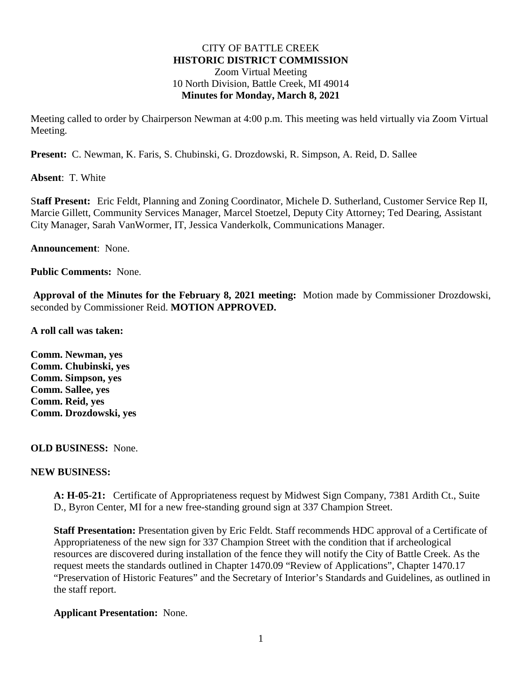#### CITY OF BATTLE CREEK **HISTORIC DISTRICT COMMISSION** Zoom Virtual Meeting 10 North Division, Battle Creek, MI 49014 **Minutes for Monday, March 8, 2021**

Meeting called to order by Chairperson Newman at 4:00 p.m. This meeting was held virtually via Zoom Virtual Meeting.

**Present:** C. Newman, K. Faris, S. Chubinski, G. Drozdowski, R. Simpson, A. Reid, D. Sallee

**Absent**: T. White

S**taff Present:** Eric Feldt, Planning and Zoning Coordinator, Michele D. Sutherland, Customer Service Rep II, Marcie Gillett, Community Services Manager, Marcel Stoetzel, Deputy City Attorney; Ted Dearing, Assistant City Manager, Sarah VanWormer, IT, Jessica Vanderkolk, Communications Manager.

**Announcement**: None.

**Public Comments:** None.

**Approval of the Minutes for the February 8, 2021 meeting:** Motion made by Commissioner Drozdowski, seconded by Commissioner Reid. **MOTION APPROVED.** 

**A roll call was taken:**

**Comm. Newman, yes Comm. Chubinski, yes Comm. Simpson, yes Comm. Sallee, yes Comm. Reid, yes Comm. Drozdowski, yes**

#### **OLD BUSINESS:** None.

#### **NEW BUSINESS:**

**A: H-05-21:** Certificate of Appropriateness request by Midwest Sign Company, 7381 Ardith Ct., Suite D., Byron Center, MI for a new free-standing ground sign at 337 Champion Street.

**Staff Presentation:** Presentation given by Eric Feldt. Staff recommends HDC approval of a Certificate of Appropriateness of the new sign for 337 Champion Street with the condition that if archeological resources are discovered during installation of the fence they will notify the City of Battle Creek. As the request meets the standards outlined in Chapter 1470.09 "Review of Applications", Chapter 1470.17 "Preservation of Historic Features" and the Secretary of Interior's Standards and Guidelines, as outlined in the staff report.

#### **Applicant Presentation:** None.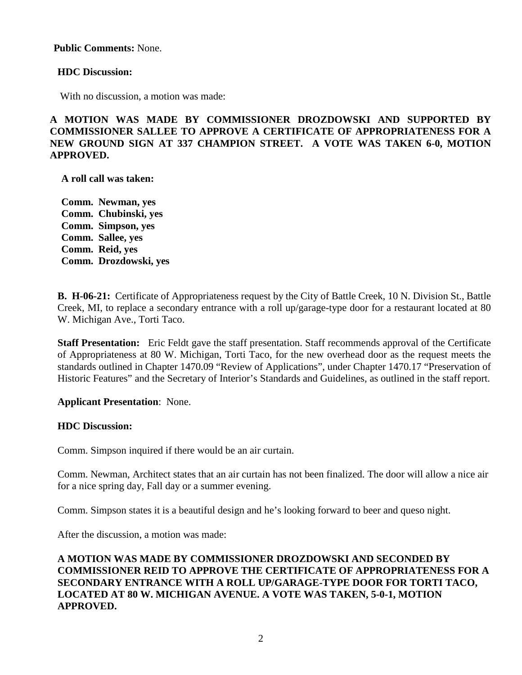**Public Comments:** None.

#### **HDC Discussion:**

With no discussion, a motion was made:

# **A MOTION WAS MADE BY COMMISSIONER DROZDOWSKI AND SUPPORTED BY COMMISSIONER SALLEE TO APPROVE A CERTIFICATE OF APPROPRIATENESS FOR A NEW GROUND SIGN AT 337 CHAMPION STREET. A VOTE WAS TAKEN 6-0, MOTION APPROVED.**

**A roll call was taken:**

**Comm. Newman, yes Comm. Chubinski, yes Comm. Simpson, yes Comm. Sallee, yes Comm. Reid, yes Comm. Drozdowski, yes**

**B. H-06-21:** Certificate of Appropriateness request by the City of Battle Creek, 10 N. Division St., Battle Creek, MI, to replace a secondary entrance with a roll up/garage-type door for a restaurant located at 80 W. Michigan Ave., Torti Taco.

**Staff Presentation:** Eric Feldt gave the staff presentation. Staff recommends approval of the Certificate of Appropriateness at 80 W. Michigan, Torti Taco, for the new overhead door as the request meets the standards outlined in Chapter 1470.09 "Review of Applications", under Chapter 1470.17 "Preservation of Historic Features" and the Secretary of Interior's Standards and Guidelines, as outlined in the staff report.

#### **Applicant Presentation**: None.

#### **HDC Discussion:**

Comm. Simpson inquired if there would be an air curtain.

Comm. Newman, Architect states that an air curtain has not been finalized. The door will allow a nice air for a nice spring day, Fall day or a summer evening.

Comm. Simpson states it is a beautiful design and he's looking forward to beer and queso night.

After the discussion, a motion was made:

### **A MOTION WAS MADE BY COMMISSIONER DROZDOWSKI AND SECONDED BY COMMISSIONER REID TO APPROVE THE CERTIFICATE OF APPROPRIATENESS FOR A SECONDARY ENTRANCE WITH A ROLL UP/GARAGE-TYPE DOOR FOR TORTI TACO, LOCATED AT 80 W. MICHIGAN AVENUE. A VOTE WAS TAKEN, 5-0-1, MOTION APPROVED.**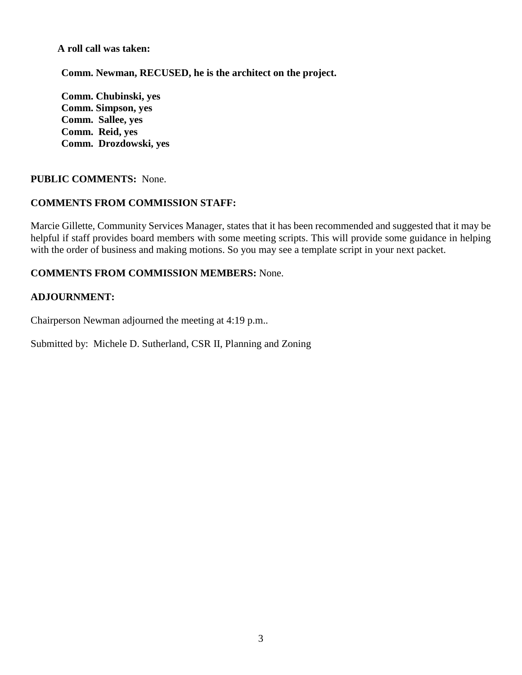**A roll call was taken:**

**Comm. Newman, RECUSED, he is the architect on the project.** 

**Comm. Chubinski, yes Comm. Simpson, yes Comm. Sallee, yes Comm. Reid, yes Comm. Drozdowski, yes**

# **PUBLIC COMMENTS:** None.

# **COMMENTS FROM COMMISSION STAFF:**

Marcie Gillette, Community Services Manager, states that it has been recommended and suggested that it may be helpful if staff provides board members with some meeting scripts. This will provide some guidance in helping with the order of business and making motions. So you may see a template script in your next packet.

### **COMMENTS FROM COMMISSION MEMBERS:** None.

### **ADJOURNMENT:**

Chairperson Newman adjourned the meeting at 4:19 p.m..

Submitted by: Michele D. Sutherland, CSR II, Planning and Zoning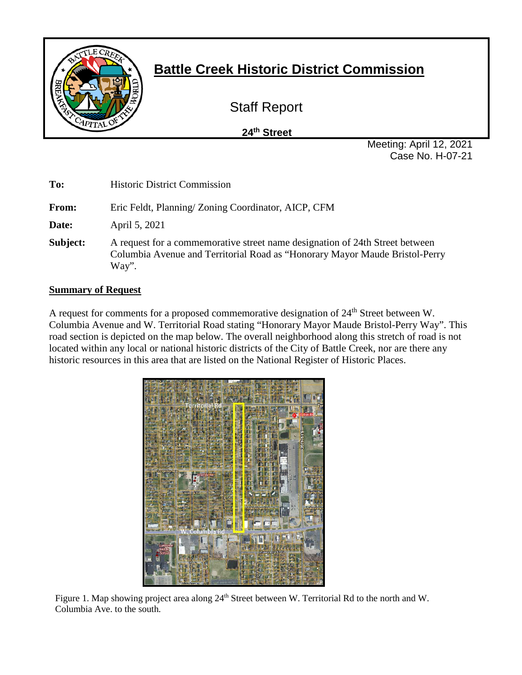

# **Battle Creek Historic District Commission**

Staff Report

 **24th Street**

Meeting: April 12, 2021 Case No. H-07-21

| To:      | <b>Historic District Commission</b>                                                                                                                                  |
|----------|----------------------------------------------------------------------------------------------------------------------------------------------------------------------|
| From:    | Eric Feldt, Planning/Zoning Coordinator, AICP, CFM                                                                                                                   |
| Date:    | April 5, 2021                                                                                                                                                        |
| Subject: | A request for a commemorative street name designation of 24th Street between<br>Columbia Avenue and Territorial Road as "Honorary Mayor Maude Bristol-Perry<br>Way". |

# **Summary of Request**

A request for comments for a proposed commemorative designation of 24<sup>th</sup> Street between W. Columbia Avenue and W. Territorial Road stating "Honorary Mayor Maude Bristol-Perry Way". This road section is depicted on the map below. The overall neighborhood along this stretch of road is not located within any local or national historic districts of the City of Battle Creek, nor are there any historic resources in this area that are listed on the National Register of Historic Places.



Figure 1. Map showing project area along 24<sup>th</sup> Street between W. Territorial Rd to the north and W. Columbia Ave. to the south.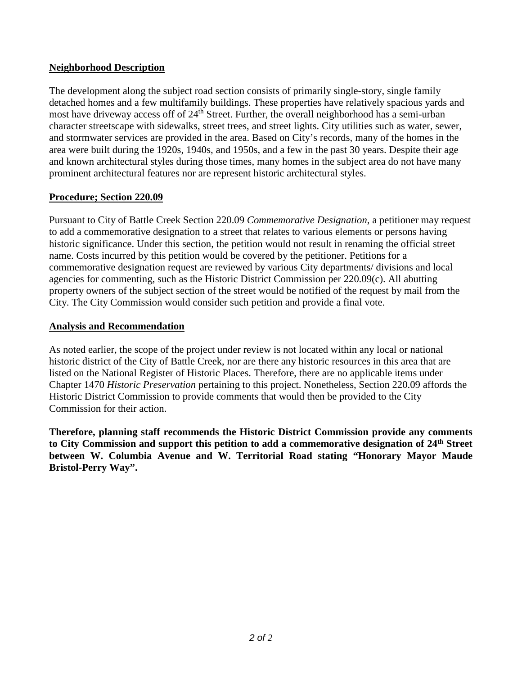# **Neighborhood Description**

The development along the subject road section consists of primarily single-story, single family detached homes and a few multifamily buildings. These properties have relatively spacious yards and most have driveway access off of 24<sup>th</sup> Street. Further, the overall neighborhood has a semi-urban character streetscape with sidewalks, street trees, and street lights. City utilities such as water, sewer, and stormwater services are provided in the area. Based on City's records, many of the homes in the area were built during the 1920s, 1940s, and 1950s, and a few in the past 30 years. Despite their age and known architectural styles during those times, many homes in the subject area do not have many prominent architectural features nor are represent historic architectural styles.

# **Procedure; Section 220.09**

Pursuant to City of Battle Creek Section 220.09 *Commemorative Designation*, a petitioner may request to add a commemorative designation to a street that relates to various elements or persons having historic significance. Under this section, the petition would not result in renaming the official street name. Costs incurred by this petition would be covered by the petitioner. Petitions for a commemorative designation request are reviewed by various City departments/ divisions and local agencies for commenting, such as the Historic District Commission per 220.09(c). All abutting property owners of the subject section of the street would be notified of the request by mail from the City. The City Commission would consider such petition and provide a final vote.

### **Analysis and Recommendation**

As noted earlier, the scope of the project under review is not located within any local or national historic district of the City of Battle Creek, nor are there any historic resources in this area that are listed on the National Register of Historic Places. Therefore, there are no applicable items under Chapter 1470 *Historic Preservation* pertaining to this project. Nonetheless, Section 220.09 affords the Historic District Commission to provide comments that would then be provided to the City Commission for their action.

**Therefore, planning staff recommends the Historic District Commission provide any comments to City Commission and support this petition to add a commemorative designation of 24th Street between W. Columbia Avenue and W. Territorial Road stating "Honorary Mayor Maude Bristol-Perry Way".**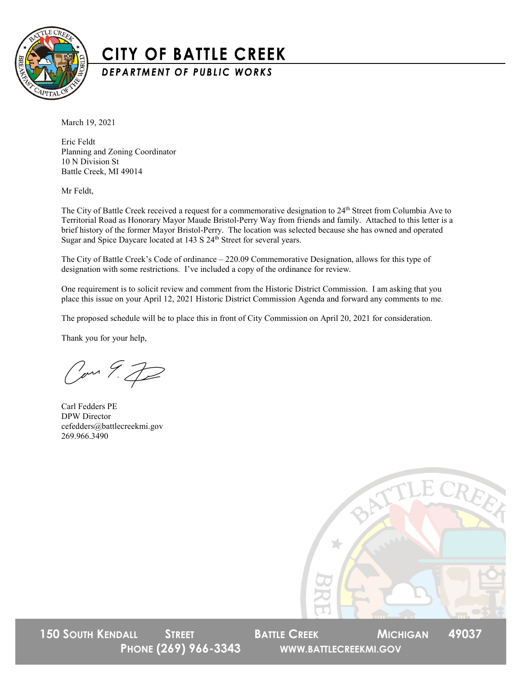

# **CITY OF BATTLE CREEK**

DEPARTMENT OF PUBLIC WORKS

March 19, 2021

Eric Feldt Planning and Zoning Coordinator 10 N Division St Battle Creek, MI 49014

Mr Feldt,

The City of Battle Creek received a request for a commemorative designation to 24<sup>th</sup> Street from Columbia Ave to Territorial Road as Honorary Mayor Maude Bristol-Perry Way from friends and family. Attached to this letter is a brief history of the former Mayor Bristol-Perry. The location was selected because she has owned and operated Sugar and Spice Daycare located at 143 S 24<sup>th</sup> Street for several years.

The City of Battle Creek's Code of ordinance – 220.09 Commemorative Designation, allows for this type of designation with some restrictions. I've included a copy of the ordinance for review.

One requirement is to solicit review and comment from the Historic District Commission. I am asking that you place this issue on your April 12, 2021 Historic District Commission Agenda and forward any comments to me.

The proposed schedule will be to place this in front of City Commission on April 20, 2021 for consideration.

Thank you for your help,

Com 9.72

Carl Fedders PE DPW Director cefedders@battlecreekmi.gov 269.966.3490



**150 SOUTH KENDALL STREET BATTLE CREEK MICHIGAN 49037** 

**PHONE (269) 966-3343 WWW.BATTLECREEKMI.GOV**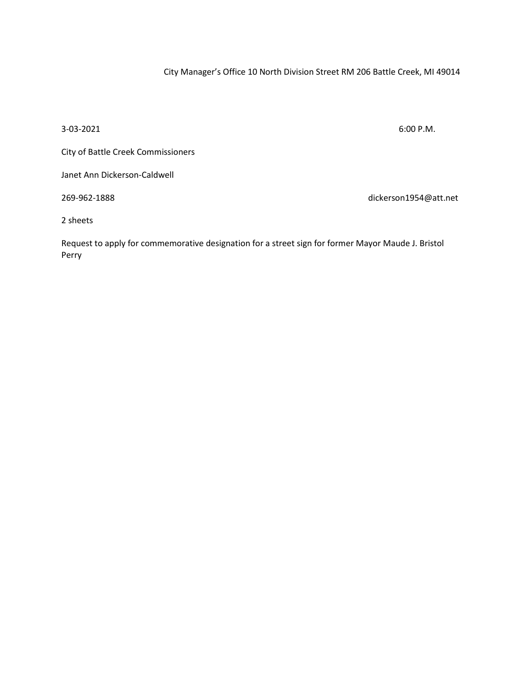City Manager's Office 10 North Division Street RM 206 Battle Creek, MI 49014

 $3-03-2021$  6:00 P.M.

City of Battle Creek Commissioners

Janet Ann Dickerson-Caldwell

269-962-1888 dickerson1954@att.net

2 sheets

Request to apply for commemorative designation for a street sign for former Mayor Maude J. Bristol Perry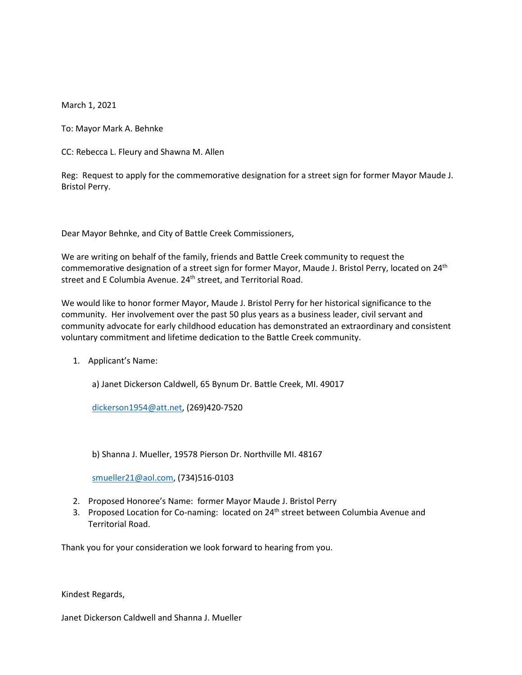March 1, 2021

To: Mayor Mark A. Behnke

CC: Rebecca L. Fleury and Shawna M. Allen

Reg: Request to apply for the commemorative designation for a street sign for former Mayor Maude J. Bristol Perry.

Dear Mayor Behnke, and City of Battle Creek Commissioners,

We are writing on behalf of the family, friends and Battle Creek community to request the commemorative designation of a street sign for former Mayor, Maude J. Bristol Perry, located on 24<sup>th</sup> street and E Columbia Avenue. 24<sup>th</sup> street, and Territorial Road.

We would like to honor former Mayor, Maude J. Bristol Perry for her historical significance to the community. Her involvement over the past 50 plus years as a business leader, civil servant and community advocate for early childhood education has demonstrated an extraordinary and consistent voluntary commitment and lifetime dedication to the Battle Creek community.

1. Applicant's Name:

a) Janet Dickerson Caldwell, 65 Bynum Dr. Battle Creek, MI. 49017

[dickerson1954@att.net,](mailto:dickerson1954@att.net) (269)420-7520

b) Shanna J. Mueller, 19578 Pierson Dr. Northville MI. 48167

[smueller21@aol.com,](mailto:smueller21@aol.com) (734)516-0103

- 2. Proposed Honoree's Name: former Mayor Maude J. Bristol Perry
- 3. Proposed Location for Co-naming: located on 24<sup>th</sup> street between Columbia Avenue and Territorial Road.

Thank you for your consideration we look forward to hearing from you.

Kindest Regards,

Janet Dickerson Caldwell and Shanna J. Mueller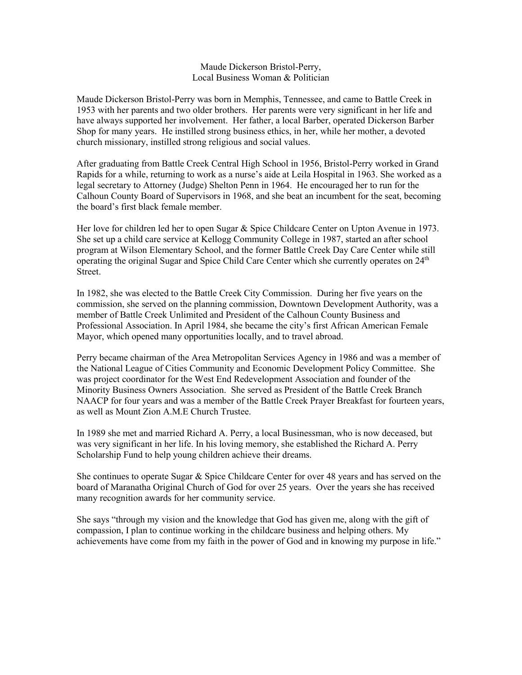#### Maude Dickerson Bristol-Perry, Local Business Woman & Politician

Maude Dickerson Bristol-Perry was born in Memphis, Tennessee, and came to Battle Creek in 1953 with her parents and two older brothers. Her parents were very significant in her life and have always supported her involvement. Her father, a local Barber, operated Dickerson Barber Shop for many years. He instilled strong business ethics, in her, while her mother, a devoted church missionary, instilled strong religious and social values.

After graduating from Battle Creek Central High School in 1956, Bristol-Perry worked in Grand Rapids for a while, returning to work as a nurse's aide at Leila Hospital in 1963. She worked as a legal secretary to Attorney (Judge) Shelton Penn in 1964. He encouraged her to run for the Calhoun County Board of Supervisors in 1968, and she beat an incumbent for the seat, becoming the board's first black female member.

Her love for children led her to open Sugar & Spice Childcare Center on Upton Avenue in 1973. She set up a child care service at Kellogg Community College in 1987, started an after school program at Wilson Elementary School, and the former Battle Creek Day Care Center while still operating the original Sugar and Spice Child Care Center which she currently operates on 24th Street.

In 1982, she was elected to the Battle Creek City Commission. During her five years on the commission, she served on the planning commission, Downtown Development Authority, was a member of Battle Creek Unlimited and President of the Calhoun County Business and Professional Association. In April 1984, she became the city's first African American Female Mayor, which opened many opportunities locally, and to travel abroad.

Perry became chairman of the Area Metropolitan Services Agency in 1986 and was a member of the National League of Cities Community and Economic Development Policy Committee. She was project coordinator for the West End Redevelopment Association and founder of the Minority Business Owners Association. She served as President of the Battle Creek Branch NAACP for four years and was a member of the Battle Creek Prayer Breakfast for fourteen years, as well as Mount Zion A.M.E Church Trustee.

In 1989 she met and married Richard A. Perry, a local Businessman, who is now deceased, but was very significant in her life. In his loving memory, she established the Richard A. Perry Scholarship Fund to help young children achieve their dreams.

She continues to operate Sugar & Spice Childcare Center for over 48 years and has served on the board of Maranatha Original Church of God for over 25 years. Over the years she has received many recognition awards for her community service.

She says "through my vision and the knowledge that God has given me, along with the gift of compassion, I plan to continue working in the childcare business and helping others. My achievements have come from my faith in the power of God and in knowing my purpose in life."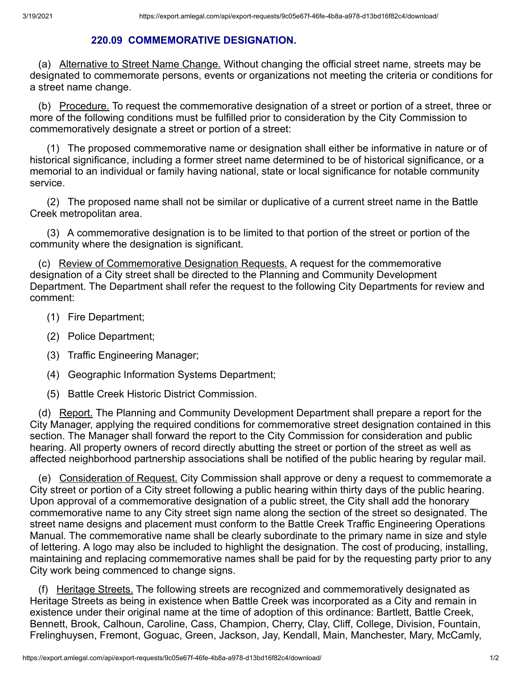# **220.09 COMMEMORATIVE DESIGNATION.**

 (a) Alternative to Street Name Change. Without changing the official street name, streets may be designated to commemorate persons, events or organizations not meeting the criteria or conditions for a street name change.

(b) Procedure. To request the commemorative designation of a street or portion of a street, three or more of the following conditions must be fulfilled prior to consideration by the City Commission to commemoratively designate a street or portion of a street:

 (1) The proposed commemorative name or designation shall either be informative in nature or of historical significance, including a former street name determined to be of historical significance, or a memorial to an individual or family having national, state or local significance for notable community service.

 (2) The proposed name shall not be similar or duplicative of a current street name in the Battle Creek metropolitan area.

 (3) A commemorative designation is to be limited to that portion of the street or portion of the community where the designation is significant.

 (c) Review of Commemorative Designation Requests. A request for the commemorative designation of a City street shall be directed to the Planning and Community Development Department. The Department shall refer the request to the following City Departments for review and comment:

- (1) Fire Department;
- (2) Police Department;
- (3) Traffic Engineering Manager;
- (4) Geographic Information Systems Department;
- (5) Battle Creek Historic District Commission.

 (d) Report. The Planning and Community Development Department shall prepare a report for the City Manager, applying the required conditions for commemorative street designation contained in this section. The Manager shall forward the report to the City Commission for consideration and public hearing. All property owners of record directly abutting the street or portion of the street as well as affected neighborhood partnership associations shall be notified of the public hearing by regular mail.

 (e) Consideration of Request. City Commission shall approve or deny a request to commemorate a City street or portion of a City street following a public hearing within thirty days of the public hearing. Upon approval of a commemorative designation of a public street, the City shall add the honorary commemorative name to any City street sign name along the section of the street so designated. The street name designs and placement must conform to the Battle Creek Traffic Engineering Operations Manual. The commemorative name shall be clearly subordinate to the primary name in size and style of lettering. A logo may also be included to highlight the designation. The cost of producing, installing, maintaining and replacing commemorative names shall be paid for by the requesting party prior to any City work being commenced to change signs.

 (f) Heritage Streets. The following streets are recognized and commemoratively designated as Heritage Streets as being in existence when Battle Creek was incorporated as a City and remain in existence under their original name at the time of adoption of this ordinance: Bartlett, Battle Creek, Bennett, Brook, Calhoun, Caroline, Cass, Champion, Cherry, Clay, Cliff, College, Division, Fountain, Frelinghuysen, Fremont, Goguac, Green, Jackson, Jay, Kendall, Main, Manchester, Mary, McCamly,